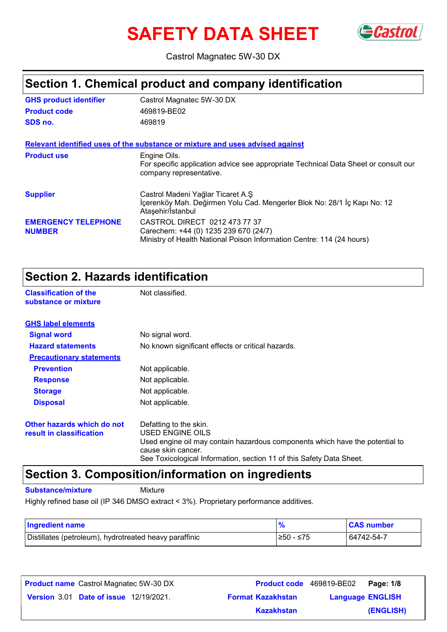# **SAFETY DATA SHEET** GCastrol



Castrol Magnatec 5W-30 DX

### **Section 1. Chemical product and company identification**

| <b>GHS product identifier</b>               | Castrol Magnatec 5W-30 DX                                                                                                                       |
|---------------------------------------------|-------------------------------------------------------------------------------------------------------------------------------------------------|
| <b>Product code</b>                         | 469819-BE02                                                                                                                                     |
| SDS no.                                     | 469819                                                                                                                                          |
|                                             | Relevant identified uses of the substance or mixture and uses advised against                                                                   |
| <b>Product use</b>                          | Engine Oils.<br>For specific application advice see appropriate Technical Data Sheet or consult our<br>company representative.                  |
| <b>Supplier</b>                             | Castrol Madeni Yağlar Ticaret A.Ş<br>İçerenköy Mah. Değirmen Yolu Cad. Mengerler Blok No: 28/1 İç Kapı No: 12<br>Ataşehir/İstanbul              |
| <b>EMERGENCY TELEPHONE</b><br><b>NUMBER</b> | CASTROL DIRECT 0212 473 77 37<br>Carechem: +44 (0) 1235 239 670 (24/7)<br>Ministry of Health National Poison Information Centre: 114 (24 hours) |

### **Section 2. Hazards identification**

**Classification of the Mot classified. substance or mixture**

| <b>GHS label elements</b>                              |                                                                                                                                                                                                                          |
|--------------------------------------------------------|--------------------------------------------------------------------------------------------------------------------------------------------------------------------------------------------------------------------------|
| <b>Signal word</b>                                     | No signal word.                                                                                                                                                                                                          |
| <b>Hazard statements</b>                               | No known significant effects or critical hazards.                                                                                                                                                                        |
| <b>Precautionary statements</b>                        |                                                                                                                                                                                                                          |
| <b>Prevention</b>                                      | Not applicable.                                                                                                                                                                                                          |
| <b>Response</b>                                        | Not applicable.                                                                                                                                                                                                          |
| <b>Storage</b>                                         | Not applicable.                                                                                                                                                                                                          |
| <b>Disposal</b>                                        | Not applicable.                                                                                                                                                                                                          |
| Other hazards which do not<br>result in classification | Defatting to the skin.<br>USED ENGINE OILS<br>Used engine oil may contain hazardous components which have the potential to<br>cause skin cancer.<br>See Toxicological Information, section 11 of this Safety Data Sheet. |

### **Section 3. Composition/information on ingredients**

**Substance/mixture** Mixture

Highly refined base oil (IP 346 DMSO extract < 3%). Proprietary performance additives.

| <b>Ingredient name</b>                                 |            | <b>CAS number</b> |
|--------------------------------------------------------|------------|-------------------|
| Distillates (petroleum), hydrotreated heavy paraffinic | .≥50 - ≤75 | 64742-54-7        |

| <b>Product name</b> Castrol Magnatec 5W-30 DX |                          | <b>Product code</b> 469819-BE02 Page: 1/8 |           |
|-----------------------------------------------|--------------------------|-------------------------------------------|-----------|
| <b>Version 3.01 Date of issue 12/19/2021.</b> | <b>Format Kazakhstan</b> | <b>Language ENGLISH</b>                   |           |
|                                               | <b>Kazakhstan</b>        |                                           | (ENGLISH) |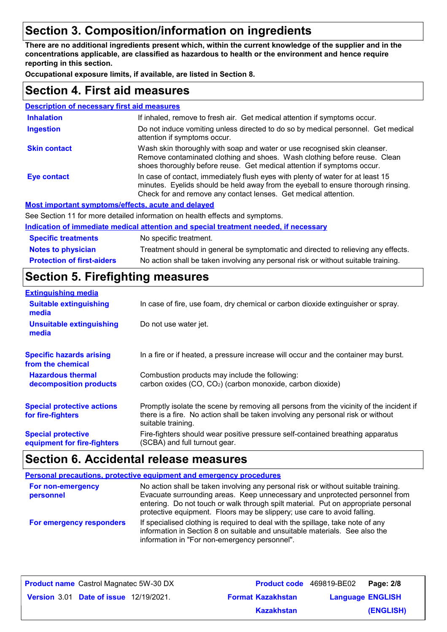### **Section 3. Composition/information on ingredients**

**There are no additional ingredients present which, within the current knowledge of the supplier and in the concentrations applicable, are classified as hazardous to health or the environment and hence require reporting in this section.**

**Occupational exposure limits, if available, are listed in Section 8.**

### **Section 4. First aid measures**

| <b>Description of necessary first aid measures</b> |                                                                                                                                                                                                                                         |
|----------------------------------------------------|-----------------------------------------------------------------------------------------------------------------------------------------------------------------------------------------------------------------------------------------|
| <b>Inhalation</b>                                  | If inhaled, remove to fresh air. Get medical attention if symptoms occur.                                                                                                                                                               |
| <b>Ingestion</b>                                   | Do not induce vomiting unless directed to do so by medical personnel. Get medical<br>attention if symptoms occur.                                                                                                                       |
| <b>Skin contact</b>                                | Wash skin thoroughly with soap and water or use recognised skin cleanser.<br>Remove contaminated clothing and shoes. Wash clothing before reuse. Clean<br>shoes thoroughly before reuse. Get medical attention if symptoms occur.       |
| Eye contact                                        | In case of contact, immediately flush eyes with plenty of water for at least 15<br>minutes. Eyelids should be held away from the eyeball to ensure thorough rinsing.<br>Check for and remove any contact lenses. Get medical attention. |
|                                                    | Most important symptoms/effects, acute and delayed                                                                                                                                                                                      |
|                                                    | See Section 11 for more detailed information on health effects and symptoms.                                                                                                                                                            |
|                                                    | Indication of immediate medical attention and special treatment needed, if necessary                                                                                                                                                    |
| <b>Specific treatments</b>                         | No specific treatment.                                                                                                                                                                                                                  |

**Protection of first-aiders** No action shall be taken involving any personal risk or without suitable training. **Notes to physician** Treatment should in general be symptomatic and directed to relieving any effects.

### **Section 5. Firefighting measures**

| <b>Extinguishing media</b>                               |                                                                                                                                                                                                   |
|----------------------------------------------------------|---------------------------------------------------------------------------------------------------------------------------------------------------------------------------------------------------|
| <b>Suitable extinguishing</b><br>media                   | In case of fire, use foam, dry chemical or carbon dioxide extinguisher or spray.                                                                                                                  |
| <b>Unsuitable extinguishing</b><br>media                 | Do not use water jet.                                                                                                                                                                             |
| <b>Specific hazards arising</b><br>from the chemical     | In a fire or if heated, a pressure increase will occur and the container may burst.                                                                                                               |
| <b>Hazardous thermal</b><br>decomposition products       | Combustion products may include the following:<br>carbon oxides (CO, CO <sub>2</sub> ) (carbon monoxide, carbon dioxide)                                                                          |
| <b>Special protective actions</b><br>for fire-fighters   | Promptly isolate the scene by removing all persons from the vicinity of the incident if<br>there is a fire. No action shall be taken involving any personal risk or without<br>suitable training. |
| <b>Special protective</b><br>equipment for fire-fighters | Fire-fighters should wear positive pressure self-contained breathing apparatus<br>(SCBA) and full turnout gear.                                                                                   |

### **Section 6. Accidental release measures**

|                                | <b>Personal precautions, protective equipment and emergency procedures</b>                                                                                                                                                                                                                                                          |
|--------------------------------|-------------------------------------------------------------------------------------------------------------------------------------------------------------------------------------------------------------------------------------------------------------------------------------------------------------------------------------|
| For non-emergency<br>personnel | No action shall be taken involving any personal risk or without suitable training.<br>Evacuate surrounding areas. Keep unnecessary and unprotected personnel from<br>entering. Do not touch or walk through spilt material. Put on appropriate personal<br>protective equipment. Floors may be slippery; use care to avoid falling. |
| For emergency responders       | If specialised clothing is required to deal with the spillage, take note of any<br>information in Section 8 on suitable and unsuitable materials. See also the<br>information in "For non-emergency personnel".                                                                                                                     |

| <b>Product name</b> Castrol Magnatec 5W-30 DX |                          | <b>Product code</b> 469819-BE02 Page: 2/8 |
|-----------------------------------------------|--------------------------|-------------------------------------------|
| <b>Version 3.01 Date of issue 12/19/2021.</b> | <b>Format Kazakhstan</b> | <b>Language ENGLISH</b>                   |
|                                               | <b>Kazakhstan</b>        | (ENGLISH)                                 |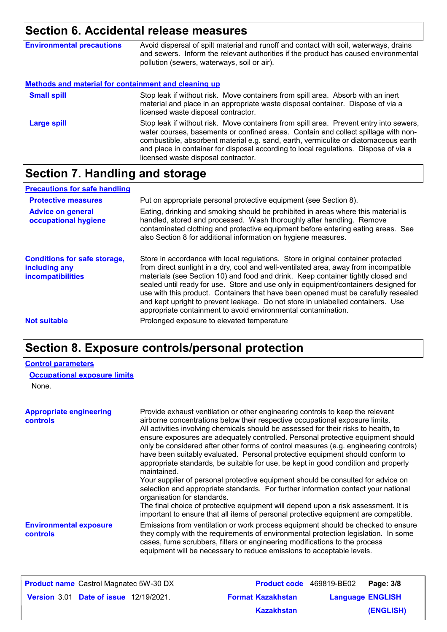### **Section 6. Accidental release measures**

| <b>Environmental precautions</b>                            | Avoid dispersal of spilt material and runoff and contact with soil, waterways, drains<br>and sewers. Inform the relevant authorities if the product has caused environmental<br>pollution (sewers, waterways, soil or air). |
|-------------------------------------------------------------|-----------------------------------------------------------------------------------------------------------------------------------------------------------------------------------------------------------------------------|
| <b>Methods and material for containment and cleaning up</b> |                                                                                                                                                                                                                             |
| <b>Small spill</b>                                          | Stop leak if without risk. Move containers from spill area. Absorb with an inert<br>material and place in an appropriate waste disposal container. Dispose of via a<br>licensed waste disposal contractor.                  |

Stop leak if without risk. Move containers from spill area. Prevent entry into sewers, water courses, basements or confined areas. Contain and collect spillage with noncombustible, absorbent material e.g. sand, earth, vermiculite or diatomaceous earth and place in container for disposal according to local regulations. Dispose of via a licensed waste disposal contractor. **Large spill**

### **Section 7. Handling and storage**

| <b>Precautions for safe handling</b>                                             |                                                                                                                                                                                                                                                                                                                                                                                                                                                                                                                                                                                                |
|----------------------------------------------------------------------------------|------------------------------------------------------------------------------------------------------------------------------------------------------------------------------------------------------------------------------------------------------------------------------------------------------------------------------------------------------------------------------------------------------------------------------------------------------------------------------------------------------------------------------------------------------------------------------------------------|
| <b>Protective measures</b>                                                       | Put on appropriate personal protective equipment (see Section 8).                                                                                                                                                                                                                                                                                                                                                                                                                                                                                                                              |
| <b>Advice on general</b><br>occupational hygiene                                 | Eating, drinking and smoking should be prohibited in areas where this material is<br>handled, stored and processed. Wash thoroughly after handling. Remove<br>contaminated clothing and protective equipment before entering eating areas. See<br>also Section 8 for additional information on hygiene measures.                                                                                                                                                                                                                                                                               |
| <b>Conditions for safe storage,</b><br>including any<br><b>incompatibilities</b> | Store in accordance with local regulations. Store in original container protected<br>from direct sunlight in a dry, cool and well-ventilated area, away from incompatible<br>materials (see Section 10) and food and drink. Keep container tightly closed and<br>sealed until ready for use. Store and use only in equipment/containers designed for<br>use with this product. Containers that have been opened must be carefully resealed<br>and kept upright to prevent leakage. Do not store in unlabelled containers. Use<br>appropriate containment to avoid environmental contamination. |
| <b>Not suitable</b>                                                              | Prolonged exposure to elevated temperature                                                                                                                                                                                                                                                                                                                                                                                                                                                                                                                                                     |

### **Section 8. Exposure controls/personal protection**

#### **Control parameters**

|  | <b>Occupational exposure limits</b> |
|--|-------------------------------------|
|--|-------------------------------------|

None.

| <b>Appropriate engineering</b><br><b>controls</b> | Provide exhaust ventilation or other engineering controls to keep the relevant<br>airborne concentrations below their respective occupational exposure limits.<br>All activities involving chemicals should be assessed for their risks to health, to<br>ensure exposures are adequately controlled. Personal protective equipment should<br>only be considered after other forms of control measures (e.g. engineering controls)<br>have been suitably evaluated. Personal protective equipment should conform to<br>appropriate standards, be suitable for use, be kept in good condition and properly<br>maintained.<br>Your supplier of personal protective equipment should be consulted for advice on<br>selection and appropriate standards. For further information contact your national<br>organisation for standards.<br>The final choice of protective equipment will depend upon a risk assessment. It is<br>important to ensure that all items of personal protective equipment are compatible. |
|---------------------------------------------------|---------------------------------------------------------------------------------------------------------------------------------------------------------------------------------------------------------------------------------------------------------------------------------------------------------------------------------------------------------------------------------------------------------------------------------------------------------------------------------------------------------------------------------------------------------------------------------------------------------------------------------------------------------------------------------------------------------------------------------------------------------------------------------------------------------------------------------------------------------------------------------------------------------------------------------------------------------------------------------------------------------------|
| <b>Environmental exposure</b><br><b>controls</b>  | Emissions from ventilation or work process equipment should be checked to ensure<br>they comply with the requirements of environmental protection legislation. In some<br>cases, fume scrubbers, filters or engineering modifications to the process<br>equipment will be necessary to reduce emissions to acceptable levels.                                                                                                                                                                                                                                                                                                                                                                                                                                                                                                                                                                                                                                                                                 |

| <b>Product name</b> Castrol Magnatec 5W-30 DX |                          | <b>Product code</b> 469819-BE02   Page: 3/8 |
|-----------------------------------------------|--------------------------|---------------------------------------------|
| <b>Version 3.01 Date of issue 12/19/2021.</b> | <b>Format Kazakhstan</b> | <b>Language ENGLISH</b>                     |
|                                               | <b>Kazakhstan</b>        | (ENGLISH)                                   |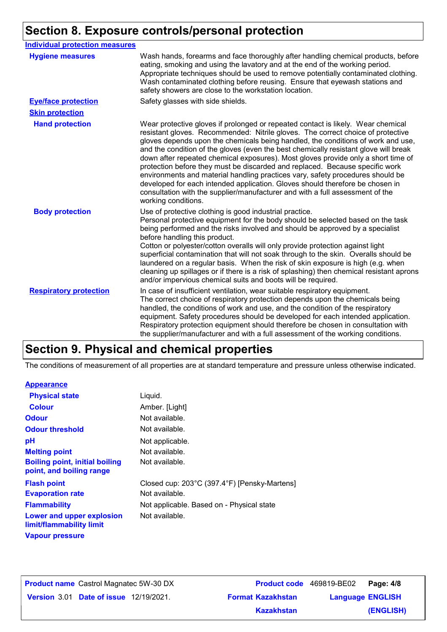## **Section 8. Exposure controls/personal protection**

| <b>Individual protection measures</b> |                                                                                                                                                                                                                                                                                                                                                                                                                                                                                                                                                                                                                                                                                                                                                                                                 |
|---------------------------------------|-------------------------------------------------------------------------------------------------------------------------------------------------------------------------------------------------------------------------------------------------------------------------------------------------------------------------------------------------------------------------------------------------------------------------------------------------------------------------------------------------------------------------------------------------------------------------------------------------------------------------------------------------------------------------------------------------------------------------------------------------------------------------------------------------|
| <b>Hygiene measures</b>               | Wash hands, forearms and face thoroughly after handling chemical products, before<br>eating, smoking and using the lavatory and at the end of the working period.<br>Appropriate techniques should be used to remove potentially contaminated clothing.<br>Wash contaminated clothing before reusing. Ensure that eyewash stations and<br>safety showers are close to the workstation location.                                                                                                                                                                                                                                                                                                                                                                                                 |
| <b>Eye/face protection</b>            | Safety glasses with side shields.                                                                                                                                                                                                                                                                                                                                                                                                                                                                                                                                                                                                                                                                                                                                                               |
| <b>Skin protection</b>                |                                                                                                                                                                                                                                                                                                                                                                                                                                                                                                                                                                                                                                                                                                                                                                                                 |
| <b>Hand protection</b>                | Wear protective gloves if prolonged or repeated contact is likely. Wear chemical<br>resistant gloves. Recommended: Nitrile gloves. The correct choice of protective<br>gloves depends upon the chemicals being handled, the conditions of work and use,<br>and the condition of the gloves (even the best chemically resistant glove will break<br>down after repeated chemical exposures). Most gloves provide only a short time of<br>protection before they must be discarded and replaced. Because specific work<br>environments and material handling practices vary, safety procedures should be<br>developed for each intended application. Gloves should therefore be chosen in<br>consultation with the supplier/manufacturer and with a full assessment of the<br>working conditions. |
| <b>Body protection</b>                | Use of protective clothing is good industrial practice.<br>Personal protective equipment for the body should be selected based on the task<br>being performed and the risks involved and should be approved by a specialist<br>before handling this product.<br>Cotton or polyester/cotton overalls will only provide protection against light<br>superficial contamination that will not soak through to the skin. Overalls should be<br>laundered on a regular basis. When the risk of skin exposure is high (e.g. when<br>cleaning up spillages or if there is a risk of splashing) then chemical resistant aprons<br>and/or impervious chemical suits and boots will be required.                                                                                                           |
| <b>Respiratory protection</b>         | In case of insufficient ventilation, wear suitable respiratory equipment.<br>The correct choice of respiratory protection depends upon the chemicals being<br>handled, the conditions of work and use, and the condition of the respiratory<br>equipment. Safety procedures should be developed for each intended application.<br>Respiratory protection equipment should therefore be chosen in consultation with<br>the supplier/manufacturer and with a full assessment of the working conditions.                                                                                                                                                                                                                                                                                           |

### **Section 9. Physical and chemical properties**

The conditions of measurement of all properties are at standard temperature and pressure unless otherwise indicated.

### **Appearance**

| <b>Physical state</b>                                             | Liquid.                                      |
|-------------------------------------------------------------------|----------------------------------------------|
| <b>Colour</b>                                                     | Amber. [Light]                               |
| <b>Odour</b>                                                      | Not available.                               |
| <b>Odour threshold</b>                                            | Not available.                               |
| рH                                                                | Not applicable.                              |
| <b>Melting point</b>                                              | Not available.                               |
| <b>Boiling point, initial boiling</b><br>point, and boiling range | Not available.                               |
| <b>Flash point</b>                                                | Closed cup: 203°C (397.4°F) [Pensky-Martens] |
| <b>Evaporation rate</b>                                           | Not available.                               |
| <b>Flammability</b>                                               | Not applicable. Based on - Physical state    |
| Lower and upper explosion<br>limit/flammability limit             | Not available.                               |
| <b>Vapour pressure</b>                                            |                                              |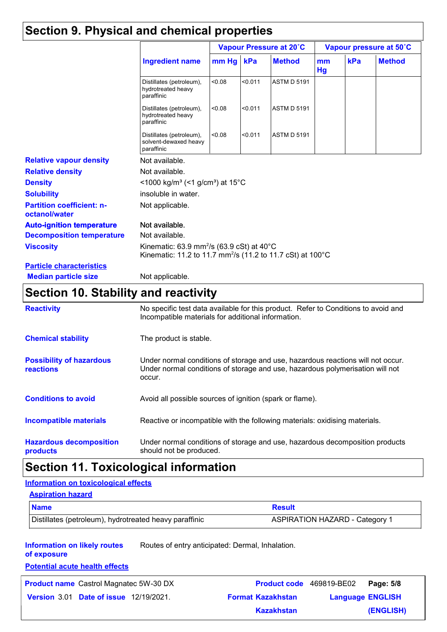### **Section 9. Physical and chemical properties**

|                                                   |                                                                                                                                            | Vapour Pressure at 20°C |         | Vapour pressure at 50°C |          |     |               |
|---------------------------------------------------|--------------------------------------------------------------------------------------------------------------------------------------------|-------------------------|---------|-------------------------|----------|-----|---------------|
|                                                   | <b>Ingredient name</b>                                                                                                                     | $mm$ Hg                 | kPa     | <b>Method</b>           | mm<br>Hg | kPa | <b>Method</b> |
|                                                   | Distillates (petroleum),<br>hydrotreated heavy<br>paraffinic                                                                               | < 0.08                  | < 0.011 | <b>ASTM D 5191</b>      |          |     |               |
|                                                   | Distillates (petroleum),<br>hydrotreated heavy<br>paraffinic                                                                               | < 0.08                  | < 0.011 | <b>ASTM D 5191</b>      |          |     |               |
|                                                   | Distillates (petroleum),<br>solvent-dewaxed heavy<br>paraffinic                                                                            | < 0.08                  | < 0.011 | <b>ASTM D 5191</b>      |          |     |               |
| <b>Relative vapour density</b>                    | Not available.                                                                                                                             |                         |         |                         |          |     |               |
| <b>Relative density</b>                           | Not available.                                                                                                                             |                         |         |                         |          |     |               |
| <b>Density</b>                                    | <1000 kg/m <sup>3</sup> (<1 g/cm <sup>3</sup> ) at 15 <sup>°</sup> C                                                                       |                         |         |                         |          |     |               |
| <b>Solubility</b>                                 | insoluble in water.                                                                                                                        |                         |         |                         |          |     |               |
| <b>Partition coefficient: n-</b><br>octanol/water | Not applicable.                                                                                                                            |                         |         |                         |          |     |               |
| <b>Auto-ignition temperature</b>                  | Not available.                                                                                                                             |                         |         |                         |          |     |               |
| <b>Decomposition temperature</b>                  | Not available.                                                                                                                             |                         |         |                         |          |     |               |
| <b>Viscosity</b>                                  | Kinematic: 63.9 mm <sup>2</sup> /s (63.9 cSt) at 40 $^{\circ}$ C<br>Kinematic: 11.2 to 11.7 mm <sup>2</sup> /s (11.2 to 11.7 cSt) at 100°C |                         |         |                         |          |     |               |
| <b>Particle characteristics</b>                   |                                                                                                                                            |                         |         |                         |          |     |               |
| <b>Median particle size</b>                       | Not applicable.                                                                                                                            |                         |         |                         |          |     |               |

### **Section 10. Stability and reactivity**

| <b>Reactivity</b>                                   | No specific test data available for this product. Refer to Conditions to avoid and<br>Incompatible materials for additional information.                                   |
|-----------------------------------------------------|----------------------------------------------------------------------------------------------------------------------------------------------------------------------------|
| <b>Chemical stability</b>                           | The product is stable.                                                                                                                                                     |
| <b>Possibility of hazardous</b><br><b>reactions</b> | Under normal conditions of storage and use, hazardous reactions will not occur.<br>Under normal conditions of storage and use, hazardous polymerisation will not<br>occur. |
| <b>Conditions to avoid</b>                          | Avoid all possible sources of ignition (spark or flame).                                                                                                                   |
| <b>Incompatible materials</b>                       | Reactive or incompatible with the following materials: oxidising materials.                                                                                                |
| <b>Hazardous decomposition</b><br>products          | Under normal conditions of storage and use, hazardous decomposition products<br>should not be produced.                                                                    |

### **Section 11. Toxicological information**

### **Information on toxicological effects**

#### **Aspiration hazard**

| <b>Name</b>                                            | <b>Result</b>                         |
|--------------------------------------------------------|---------------------------------------|
| Distillates (petroleum), hydrotreated heavy paraffinic | <b>ASPIRATION HAZARD - Category 1</b> |

**Information on likely routes**  Routes of entry anticipated: Dermal, Inhalation.

**of exposure**

#### **Potential acute health effects**

|  | <b>Product name</b> Castrol Magnatec 5W-30 DX |
|--|-----------------------------------------------|
|--|-----------------------------------------------|

**Date of issue** 12/19/2021. **Version** 3.01 **Format Kazakhstan Language Product name** Castrol Magnatec 5W-30 DX **Product code** 469819-BE02 **Page: 5/8 Language ENGLISH (ENGLISH) Kazakhstan**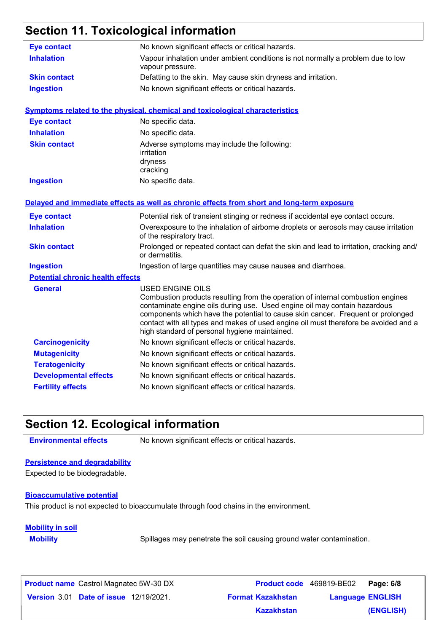### **Section 11. Toxicological information**

| <b>Eye contact</b>                      | No known significant effects or critical hazards.                                                                                                                                                                                                                                                                                                                                                                  |
|-----------------------------------------|--------------------------------------------------------------------------------------------------------------------------------------------------------------------------------------------------------------------------------------------------------------------------------------------------------------------------------------------------------------------------------------------------------------------|
| <b>Inhalation</b>                       | Vapour inhalation under ambient conditions is not normally a problem due to low<br>vapour pressure.                                                                                                                                                                                                                                                                                                                |
| <b>Skin contact</b>                     | Defatting to the skin. May cause skin dryness and irritation.                                                                                                                                                                                                                                                                                                                                                      |
| <b>Ingestion</b>                        | No known significant effects or critical hazards.                                                                                                                                                                                                                                                                                                                                                                  |
|                                         | <b>Symptoms related to the physical, chemical and toxicological characteristics</b>                                                                                                                                                                                                                                                                                                                                |
| <b>Eye contact</b>                      | No specific data.                                                                                                                                                                                                                                                                                                                                                                                                  |
| <b>Inhalation</b>                       | No specific data.                                                                                                                                                                                                                                                                                                                                                                                                  |
| <b>Skin contact</b>                     | Adverse symptoms may include the following:<br>irritation<br>dryness<br>cracking                                                                                                                                                                                                                                                                                                                                   |
| <b>Ingestion</b>                        | No specific data.                                                                                                                                                                                                                                                                                                                                                                                                  |
|                                         | Delayed and immediate effects as well as chronic effects from short and long-term exposure                                                                                                                                                                                                                                                                                                                         |
| <b>Eye contact</b>                      | Potential risk of transient stinging or redness if accidental eye contact occurs.                                                                                                                                                                                                                                                                                                                                  |
| <b>Inhalation</b>                       | Overexposure to the inhalation of airborne droplets or aerosols may cause irritation<br>of the respiratory tract.                                                                                                                                                                                                                                                                                                  |
| <b>Skin contact</b>                     | Prolonged or repeated contact can defat the skin and lead to irritation, cracking and/<br>or dermatitis.                                                                                                                                                                                                                                                                                                           |
| <b>Ingestion</b>                        | Ingestion of large quantities may cause nausea and diarrhoea.                                                                                                                                                                                                                                                                                                                                                      |
| <b>Potential chronic health effects</b> |                                                                                                                                                                                                                                                                                                                                                                                                                    |
| <b>General</b>                          | <b>USED ENGINE OILS</b><br>Combustion products resulting from the operation of internal combustion engines<br>contaminate engine oils during use. Used engine oil may contain hazardous<br>components which have the potential to cause skin cancer. Frequent or prolonged<br>contact with all types and makes of used engine oil must therefore be avoided and a<br>high standard of personal hygiene maintained. |
| <b>Carcinogenicity</b>                  | No known significant effects or critical hazards.                                                                                                                                                                                                                                                                                                                                                                  |
| <b>Mutagenicity</b>                     | No known significant effects or critical hazards.                                                                                                                                                                                                                                                                                                                                                                  |
| <b>Teratogenicity</b>                   | No known significant effects or critical hazards.                                                                                                                                                                                                                                                                                                                                                                  |
| <b>Developmental effects</b>            | No known significant effects or critical hazards.                                                                                                                                                                                                                                                                                                                                                                  |
| <b>Fertility effects</b>                | No known significant effects or critical hazards.                                                                                                                                                                                                                                                                                                                                                                  |

### **Section 12. Ecological information**

**Environmental effects** No known significant effects or critical hazards.

#### **Persistence and degradability**

Expected to be biodegradable.

#### **Bioaccumulative potential**

This product is not expected to bioaccumulate through food chains in the environment.

#### **Mobility in soil**

**Mobility** Spillages may penetrate the soil causing ground water contamination.

**Date of issue** 12/19/2021. **Version** 3.01 **Format Kazakhstan Language Product name** Castrol Magnatec 5W-30 DX **Product code** 469819-BE02 **Page: 6/8 Language ENGLISH (ENGLISH) Product code** 469819-BE02 Page: 6/8 **Kazakhstan**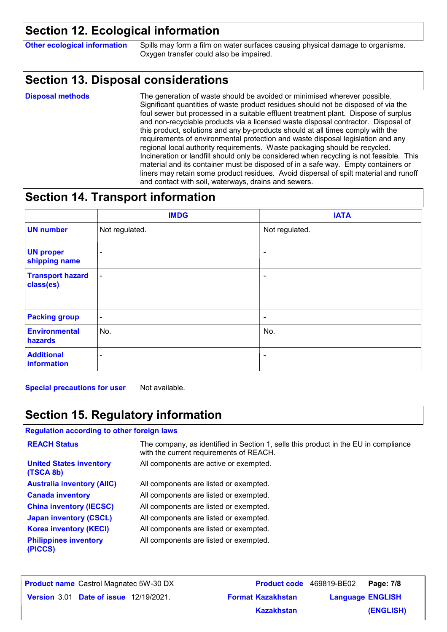### **Section 12. Ecological information**

**Other ecological information** Spills may form a film on water surfaces causing physical damage to organisms. Oxygen transfer could also be impaired.

### **Section 13. Disposal considerations**

The generation of waste should be avoided or minimised wherever possible. Significant quantities of waste product residues should not be disposed of via the foul sewer but processed in a suitable effluent treatment plant. Dispose of surplus and non-recyclable products via a licensed waste disposal contractor. Disposal of this product, solutions and any by-products should at all times comply with the requirements of environmental protection and waste disposal legislation and any regional local authority requirements. Waste packaging should be recycled. Incineration or landfill should only be considered when recycling is not feasible. This material and its container must be disposed of in a safe way. Empty containers or liners may retain some product residues. Avoid dispersal of spilt material and runoff and contact with soil, waterways, drains and sewers. **Disposal methods**

### **Section 14. Transport information**

|                                      | <b>IMDG</b>              | <b>IATA</b>              |
|--------------------------------------|--------------------------|--------------------------|
| <b>UN number</b>                     | Not regulated.           | Not regulated.           |
| <b>UN proper</b><br>shipping name    | $\overline{\phantom{a}}$ | $\sim$                   |
| <b>Transport hazard</b><br>class(es) | $\blacksquare$           | $\blacksquare$           |
| <b>Packing group</b>                 | $\blacksquare$           | $\overline{\phantom{a}}$ |
| <b>Environmental</b><br>hazards      | No.                      | No.                      |
| <b>Additional</b><br>information     | ۰                        | $\overline{\phantom{a}}$ |

**Special precautions for user** Not available.

### **Section 15. Regulatory information**

**Regulation according to other foreign laws**

| <b>REACH Status</b>                         | The company, as identified in Section 1, sells this product in the EU in compliance<br>with the current requirements of REACH. |
|---------------------------------------------|--------------------------------------------------------------------------------------------------------------------------------|
| <b>United States inventory</b><br>(TSCA 8b) | All components are active or exempted.                                                                                         |
| <b>Australia inventory (AIIC)</b>           | All components are listed or exempted.                                                                                         |
| <b>Canada inventory</b>                     | All components are listed or exempted.                                                                                         |
| <b>China inventory (IECSC)</b>              | All components are listed or exempted.                                                                                         |
| <b>Japan inventory (CSCL)</b>               | All components are listed or exempted.                                                                                         |
| <b>Korea inventory (KECI)</b>               | All components are listed or exempted.                                                                                         |
| <b>Philippines inventory</b><br>(PICCS)     | All components are listed or exempted.                                                                                         |

| <b>Product name</b> Castrol Magnatec 5W-30 DX |                          | <b>Product code</b> 469819-BE02   Page: 7/8 |           |
|-----------------------------------------------|--------------------------|---------------------------------------------|-----------|
| <b>Version 3.01 Date of issue 12/19/2021.</b> | <b>Format Kazakhstan</b> | <b>Language ENGLISH</b>                     |           |
|                                               | Kazakhstan               |                                             | (ENGLISH) |